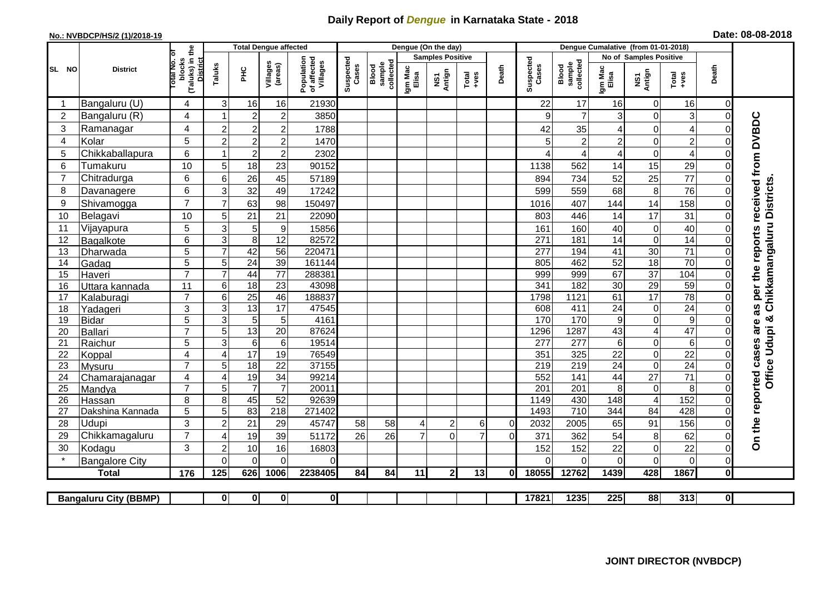## **Daily Report of** *Dengue* **in Karnataka State - 2018**

## **No.: NVBDCP/HS/2 (1)/2018-19 Date: 08-08-2018**

|                                                                                                                                                              | <b>District</b>          |                                                      | <b>Total Dengue affected</b>     |                                    |                                       |                    |                              |                  |                         | Dengue (On the day) |                |                    |                              |                  |                                   |                               |                                   |                      |                                        |
|--------------------------------------------------------------------------------------------------------------------------------------------------------------|--------------------------|------------------------------------------------------|----------------------------------|------------------------------------|---------------------------------------|--------------------|------------------------------|------------------|-------------------------|---------------------|----------------|--------------------|------------------------------|------------------|-----------------------------------|-------------------------------|-----------------------------------|----------------------|----------------------------------------|
| SL NO                                                                                                                                                        |                          |                                                      |                                  |                                    |                                       |                    |                              |                  | <b>Samples Positive</b> |                     |                |                    |                              |                  | No of Samples Positive            |                               |                                   |                      |                                        |
|                                                                                                                                                              |                          | (Taluks) in the<br>District<br>otal No. of<br>blocks |                                  | Villages<br>(areas)<br>Taluks<br>Ξ | Population<br>of affected<br>Villages | Suspected<br>Cases | Blood<br>sample<br>collected | Igm Mac<br>Elisa | NS1<br>Antign           | $Totael$            | Death          | Suspected<br>Cases | Blood<br>sample<br>collected | Igm Mac<br>Elisa | NS1<br>Antign                     | Total<br>+ves                 | Death                             |                      |                                        |
|                                                                                                                                                              | Bangaluru (U)            | $\overline{4}$                                       | 3                                | 16                                 | 16                                    | 21930              |                              |                  |                         |                     |                |                    | 22                           | 17               | 16                                | $\mathbf 0$                   | 16                                | $\Omega$             |                                        |
| $\overline{2}$                                                                                                                                               | Bangaluru (R)            | 4                                                    |                                  | $\overline{2}$                     | $\overline{c}$                        | 3850               |                              |                  |                         |                     |                |                    | 9                            | $\overline{7}$   | 3                                 | $\mathbf 0$                   | $\ensuremath{\mathsf{3}}$         | $\Omega$             |                                        |
| 3                                                                                                                                                            | Ramanagar                | 4                                                    | $\overline{2}$                   | $\overline{c}$                     | $\overline{c}$                        | 1788               |                              |                  |                         |                     |                |                    | 42                           | 35               | 4                                 | $\overline{0}$                | $\overline{\mathcal{A}}$          | $\Omega$             | as per the reports received from DVBDC |
| 4                                                                                                                                                            | Kolar                    | 5                                                    | $\overline{2}$                   | $\overline{c}$                     | $\boldsymbol{2}$                      | 1470               |                              |                  |                         |                     |                |                    | 5                            | $\overline{c}$   | $\overline{c}$                    | 0                             | $\overline{c}$                    | $\Omega$             |                                        |
| 5                                                                                                                                                            | Chikkaballapura          | 6                                                    |                                  | $\overline{c}$                     | $\boldsymbol{2}$                      | 2302               |                              |                  |                         |                     |                |                    |                              | 4                | 4                                 | $\mathbf 0$                   | $\overline{\mathcal{L}}$          | 0                    |                                        |
| 6                                                                                                                                                            | Tumakuru                 | 10                                                   | 5                                | 18                                 | 23                                    | 90152              |                              |                  |                         |                     |                |                    | 1138                         | 562              | 14                                | 15                            | 29                                | $\Omega$             |                                        |
| $\overline{7}$                                                                                                                                               | Chitradurga              | 6                                                    | 6                                | 26                                 | 45                                    | 57189              |                              |                  |                         |                     |                |                    | 894                          | 734              | 52                                | 25                            | 77                                | 0                    |                                        |
| 8                                                                                                                                                            | Davanagere               | 6                                                    | 3                                | 32                                 | 49                                    | 17242              |                              |                  |                         |                     |                |                    | 599                          | 559              | 68                                | 8                             | 76                                | $\Omega$             |                                        |
| 9                                                                                                                                                            | Shivamogga               | $\overline{7}$                                       | $\overline{7}$                   | 63                                 | 98                                    | 150497             |                              |                  |                         |                     |                |                    | 1016                         | 407              | 144                               | 14                            | 158                               | $\Omega$             |                                        |
| 10                                                                                                                                                           | Belagavi                 | 10                                                   | 5                                | 21                                 | 21                                    | 22090              |                              |                  |                         |                     |                |                    | 803                          | 446              | 14                                | 17                            | 31                                | $\Omega$             | Chikkamangaluru Districts              |
| 11                                                                                                                                                           | Vijayapura               | 5                                                    | 3                                | 5                                  | $\boldsymbol{9}$                      | 15856              |                              |                  |                         |                     |                |                    | 161                          | 160              | 40                                | $\mathbf 0$                   | 40                                | $\Omega$             |                                        |
| 12                                                                                                                                                           | Bagalkote                | 6                                                    | $\mathbf{3}$                     | 8                                  | 12                                    | 82572              |                              |                  |                         |                     |                |                    | 271                          | 181              | 14                                | $\mathbf 0$                   | 14                                | $\Omega$             |                                        |
| 13                                                                                                                                                           | Dharwada                 | 5                                                    | $\overline{7}$                   | 42                                 | $\overline{56}$                       | 220471             |                              |                  |                         |                     |                |                    | 277                          | 194              | $\overline{41}$                   | 30                            | $\overline{71}$                   | $\Omega$             |                                        |
| 14                                                                                                                                                           | Gadag                    | $\overline{5}$                                       | 5                                | $\overline{24}$                    | 39                                    | 161144             |                              |                  |                         |                     |                |                    | 805                          | 462              | 52                                | 18                            | 70                                | $\mathbf 0$          |                                        |
| 15                                                                                                                                                           | Haveri                   | $\overline{7}$                                       | $\overline{7}$                   | 44                                 | $\overline{77}$                       | 288381             |                              |                  |                         |                     |                |                    | 999                          | 999              | 67                                | $\overline{37}$               | 104                               | $\mathbf 0$          |                                        |
| 16                                                                                                                                                           | Uttara kannada           | 11                                                   | 6                                | $\overline{18}$                    | $\overline{23}$                       | 43098              |                              |                  |                         |                     |                |                    | 341                          | 182              | 30                                | 29                            | 59                                | $\Omega$             |                                        |
| 17                                                                                                                                                           | Kalaburagi               | $\overline{7}$                                       | 6                                | 25                                 | 46                                    | 188837             |                              |                  |                         |                     |                |                    | 1798                         | 1121             | 61                                | $\overline{17}$               | $\overline{78}$                   | 0                    |                                        |
| 18                                                                                                                                                           | Yadageri                 | 3                                                    | 3                                | 13                                 | 17                                    | 47545              |                              |                  |                         |                     |                |                    | 608                          | 411              | 24                                | $\mathbf 0$                   | $\overline{24}$                   | $\Omega$             |                                        |
| 19                                                                                                                                                           | Bidar                    | $\overline{5}$                                       | 3                                | 5                                  | 5                                     | 4161               |                              |                  |                         |                     |                |                    | 170                          | 170              | $\boldsymbol{9}$                  | $\mathbf 0$                   | $\overline{9}$                    | $\Omega$             | are                                    |
| 20                                                                                                                                                           | Ballari                  | $\overline{7}$                                       | 5                                | 13                                 | $\overline{20}$                       | 87624              |                              |                  |                         |                     |                |                    | 1296                         | 1287             | 43                                | $\overline{\mathcal{A}}$      | 47                                | $\Omega$             | Office Udupi &                         |
| 21<br>22                                                                                                                                                     | Raichur                  | $\overline{5}$<br>4                                  | $\overline{3}$<br>$\overline{4}$ | $6\phantom{1}6$<br>17              | $\,6$<br>19                           | 19514<br>76549     |                              |                  |                         |                     |                |                    | 277<br>351                   | 277<br>325       | $6\phantom{a}$<br>$\overline{22}$ | $\overline{0}$<br>$\mathbf 0$ | $\overline{6}$<br>$\overline{22}$ | $\Omega$<br>$\Omega$ |                                        |
| 23                                                                                                                                                           | Koppal                   | $\overline{7}$                                       | 5                                | $\overline{18}$                    | $\overline{22}$                       | 37155              |                              |                  |                         |                     |                |                    | 219                          | 219              | $\overline{24}$                   | $\overline{0}$                | 24                                | $\Omega$             |                                        |
| 24                                                                                                                                                           | Mysuru<br>Chamarajanagar | $\overline{4}$                                       | $\overline{4}$                   | 19                                 | $\overline{34}$                       | 99214              |                              |                  |                         |                     |                |                    | 552                          | 141              | 44                                | $\overline{27}$               | $\overline{71}$                   | $\Omega$             |                                        |
| 25                                                                                                                                                           | Mandya                   | $\overline{7}$                                       | 5                                | $\overline{7}$                     | $\overline{7}$                        | 20011              |                              |                  |                         |                     |                |                    | $\overline{201}$             | $\overline{201}$ | 8                                 | $\boldsymbol{0}$              | 8                                 | $\Omega$             |                                        |
| 26                                                                                                                                                           | Hassan                   | 8                                                    | 8                                | 45                                 | 52                                    | 92639              |                              |                  |                         |                     |                |                    | 1149                         | 430              | 148                               | $\overline{4}$                | 152                               | $\Omega$             |                                        |
| 27                                                                                                                                                           | Dakshina Kannada         | 5                                                    | 5                                | 83                                 | 218                                   | 271402             |                              |                  |                         |                     |                |                    | 1493                         | 710              | 344                               | $\overline{84}$               | 428                               | $\mathbf 0$          |                                        |
| 28                                                                                                                                                           | Udupi                    | 3                                                    | $\overline{2}$                   | 21                                 | 29                                    | 45747              | 58                           | 58               |                         | $\overline{2}$      | 6              | 0                  | 2032                         | 2005             | 65                                | 91                            | 156                               | $\Omega$             | On the reported cases                  |
| 29                                                                                                                                                           | Chikkamagaluru           | $\overline{7}$                                       | 4                                | 19                                 | 39                                    | 51172              | 26                           | 26               | $\overline{7}$          | $\Omega$            | $\overline{7}$ | $\Omega$           | 371                          | 362              | 54                                | 8                             | 62                                | 0                    |                                        |
| 30                                                                                                                                                           | Kodagu                   | 3                                                    | $\overline{2}$                   | 10                                 | 16                                    | 16803              |                              |                  |                         |                     |                |                    | 152                          | 152              | 22                                | $\mathbf 0$                   | 22                                | $\mathbf 0$          |                                        |
|                                                                                                                                                              | <b>Bangalore City</b>    |                                                      | $\Omega$                         | $\Omega$                           | $\Omega$                              | 0                  |                              |                  |                         |                     |                |                    | $\Omega$                     | $\Omega$         | $\Omega$                          | $\mathbf 0$                   | $\mathbf 0$                       | $\Omega$             |                                        |
|                                                                                                                                                              | <b>Total</b>             | 176                                                  | 125                              | 626                                | 1006                                  | 2238405            | 84                           | 84               | 11                      | $\overline{2}$      | 13             | 0I                 | 18055                        | 12762            | 1439                              | 428                           | 1867                              | 0                    |                                        |
|                                                                                                                                                              |                          |                                                      |                                  |                                    |                                       |                    |                              |                  |                         |                     |                |                    |                              |                  |                                   |                               |                                   |                      |                                        |
| $\overline{\mathbf{0}}$<br>17821<br>1235<br>225<br>88<br>313<br>$\mathbf{0}$<br>$\mathbf{0}$<br>$\mathbf{0}$<br>$\mathbf{0}$<br><b>Bangaluru City (BBMP)</b> |                          |                                                      |                                  |                                    |                                       |                    |                              |                  |                         |                     |                |                    |                              |                  |                                   |                               |                                   |                      |                                        |